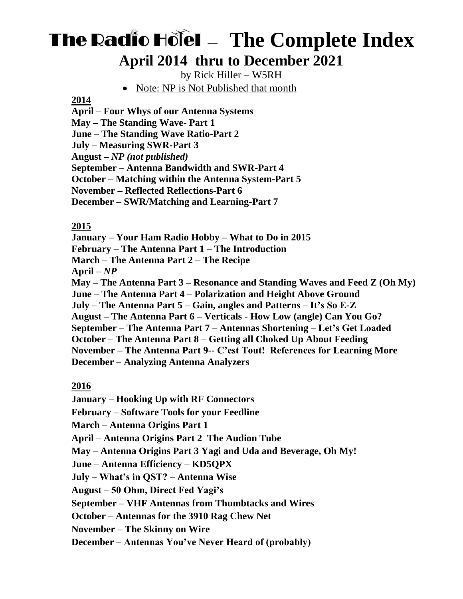# **The Radio Holel - The Complete Index April 2014 thru to December 2021**

by Rick Hiller – W5RH

Note: NP is Not Published that month

#### **2014**

**April – Four Whys of our Antenna Systems May – The Standing Wave- Part 1 June – The Standing Wave Ratio-Part 2 July – Measuring SWR-Part 3 August** *– NP (not published)* **September – Antenna Bandwidth and SWR-Part 4 October – Matching within the Antenna System-Part 5 November – Reflected Reflections-Part 6 December – SWR/Matching and Learning-Part 7**

#### **2015**

**January – Your Ham Radio Hobby – What to Do in 2015 February – The Antenna Part 1 – The Introduction March – The Antenna Part 2 – The Recipe April –** *NP* **May – The Antenna Part 3 – Resonance and Standing Waves and Feed Z (Oh My) June – The Antenna Part 4 – Polarization and Height Above Ground July – The Antenna Part 5 – Gain, angles and Patterns – It's So E-Z August – The Antenna Part 6 – Verticals - How Low (angle) Can You Go? September – The Antenna Part 7 – Antennas Shortening – Let's Get Loaded October – The Antenna Part 8 – Getting all Choked Up About Feeding November – The Antenna Part 9-- C'est Tout! References for Learning More December – Analyzing Antenna Analyzers** 

## **2016**

**January – Hooking Up with RF Connectors**

**February – Software Tools for your Feedline**

**March – Antenna Origins Part 1**

**April – Antenna Origins Part 2 The Audion Tube**

**May – Antenna Origins Part 3 Yagi and Uda and Beverage, Oh My!** 

**June – Antenna Efficiency – KD5QPX**

**July – What's in QST? – Antenna Wise**

**August – 50 Ohm, Direct Fed Yagi's**

**September – VHF Antennas from Thumbtacks and Wires**

**October – Antennas for the 3910 Rag Chew Net**

**November – The Skinny on Wire**

**December – Antennas You've Never Heard of (probably)**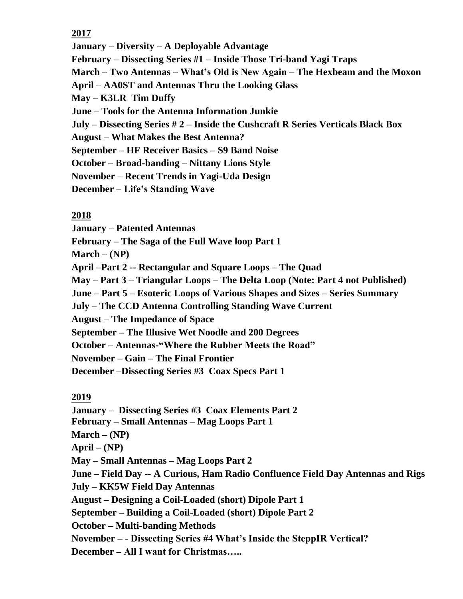**2017**

**January – Diversity – A Deployable Advantage**

**February – Dissecting Series #1 – Inside Those Tri-band Yagi Traps**

**March – Two Antennas – What's Old is New Again – The Hexbeam and the Moxon**

**April – AA0ST and Antennas Thru the Looking Glass**

**May – K3LR Tim Duffy**

**June – Tools for the Antenna Information Junkie**

**July – Dissecting Series # 2 – Inside the Cushcraft R Series Verticals Black Box**

**August – What Makes the Best Antenna?**

**September – HF Receiver Basics – S9 Band Noise**

**October – Broad-banding – Nittany Lions Style**

**November – Recent Trends in Yagi-Uda Design**

**December – Life's Standing Wave**

## **2018**

**January – Patented Antennas February – The Saga of the Full Wave loop Part 1 March – (NP) April –Part 2 -- Rectangular and Square Loops – The Quad May – Part 3 – Triangular Loops – The Delta Loop (Note: Part 4 not Published) June – Part 5 – Esoteric Loops of Various Shapes and Sizes – Series Summary July – The CCD Antenna Controlling Standing Wave Current August – The Impedance of Space September – The Illusive Wet Noodle and 200 Degrees October – Antennas-"Where the Rubber Meets the Road" November – Gain – The Final Frontier December –Dissecting Series #3 Coax Specs Part 1**

## **2019**

**January – Dissecting Series #3 Coax Elements Part 2 February – Small Antennas – Mag Loops Part 1 March – (NP) April – (NP) May – Small Antennas – Mag Loops Part 2 June – Field Day -- A Curious, Ham Radio Confluence Field Day Antennas and Rigs July – KK5W Field Day Antennas August – Designing a Coil-Loaded (short) Dipole Part 1 September – Building a Coil-Loaded (short) Dipole Part 2 October – Multi-banding Methods November – - Dissecting Series #4 What's Inside the SteppIR Vertical? December – All I want for Christmas…..**